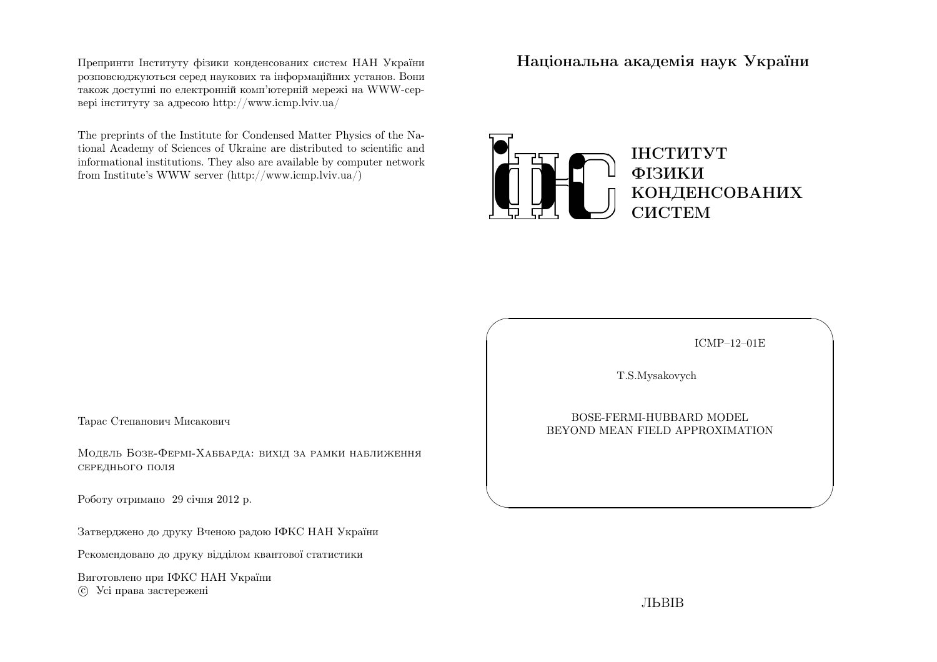Препринти Iнституту фiзики конденсованих систем НАН України розповсюджуються серед наукових та iнформацiйних установ. Вони також доступн<sup>i</sup> по електроннiй комп'ютернiй мереж<sup>i</sup> на WWW-сервер<sup>i</sup> iнституту за адресою http://www.icmp.lviv.ua/

The preprints of the Institute for Condensed Matter Physics of the National Academy of Sciences of Ukraine are distributed to scientific and informational institutions. They also are available by computer networkfrom Institute's WWW server (http://www.icmp.lviv.ua/)

Нацiональна академiя наук України



ICMP–12–01E

✩

 $\overline{\mathcal{S}}$ 

T.S.Mysakovych

 $\sqrt{2}$ 

 $\setminus$ 

BOSE-FERMI-HUBBARD MODELBEYOND MEAN FIELD APPROXIMATION

Тарас Степанович Мисакович

Модель Бозе-Фермi-Хаббарда: вихiд за рамки наближеннясереднього поля

Роботу отримано <sup>29</sup> сiчня <sup>2012</sup> р.

Затверджено до друку Вченою радою IФКС НАН України

Рекомендовано до друку вiддiлом квантової статистики

Виготовлено при IФКС НАН Україниc Усi права застережен<sup>i</sup>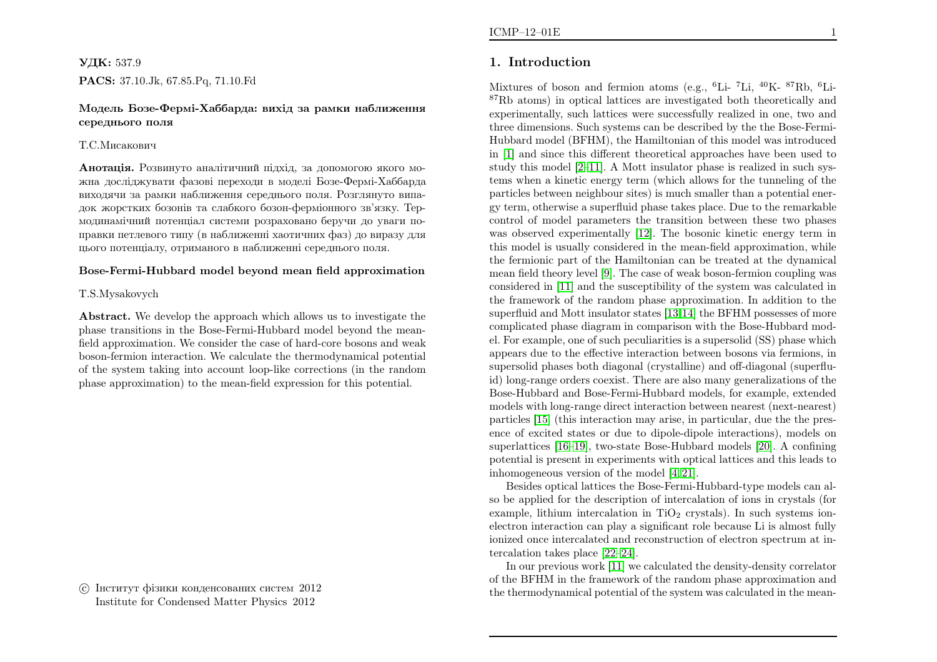# УДК: 537.9PACS: 37.10.Jk, 67.85.Pq, 71.10.Fd

### Модель Бозе-Фермi-Хаббарда: вихiд за рамки наближеннясереднього поля

### Т.С.Мисакович

**Анотація.** Розвинуто аналітичний підхід, за допомогою якого можна дослiджувати фазовi переходи <sup>в</sup> моделi Бозе-Фермi-Хаббарда виходячи за рамки наближення середнього поля. Розглянуто випадок жорстких бозонiв та слабкого бозон-фермiонного зв'язку. Термодинамiчний потенцiал системи розраховано беручи до уваги поправки петлевого типу (в наближеннi хаотичних фаз) до виразу дляцього потенцiалу, отриманого <sup>в</sup> наближеннi середнього поля.

#### Bose-Fermi-Hubbard model beyond mean field approximation

#### T.S.Mysakovych

Abstract. We develop the approac<sup>h</sup> which allows us to investigate the <sup>p</sup>hase transitions in the Bose-Fermi-Hubbard model beyond the meanfield approximation. We consider the case of hard-core bosons and weak boson-fermion interaction. We calculate the thermodynamical potential of the system taking into account loop-like corrections (in the random<sup>p</sup>hase approximation) to the mean-field expression for this potential.

 c Iнститут фiзики конденсованих систем <sup>2012</sup>Institute for Condensed Matter Physics <sup>2012</sup>

# 1. Introduction

Mixtures of boson and fermion atoms (e.g., <sup>6</sup>Li- <sup>7</sup>Li, <sup>40</sup>K- <sup>87</sup>Rb, <sup>6</sup>Li-<sup>87</sup>Rb atoms) in optical lattices are investigated both theoretically and experimentally, such lattices were successfully realized in one, two and three dimensions. Such systems can be described by the the Bose-Fermi-Hubbard model (BFHM), the Hamiltonian of this model was introduced in [\[1\]](#page-4-0) and since this different theoretical approaches have been used to study this model [\[2](#page-4-1)[–11\]](#page-5-0). <sup>A</sup> Mott insulator <sup>p</sup>hase is realized in such systems when <sup>a</sup> kinetic energy term (which allows for the tunneling of the particles between neighbour sites) is much smaller than <sup>a</sup> potential energy term, otherwise <sup>a</sup> superfluid <sup>p</sup>hase takes <sup>p</sup>lace. Due to the remarkable control of model parameters the transition between these two <sup>p</sup>hases was observed experimentally [\[12\]](#page-5-1). The bosonic kinetic energy term in this model is usually considered in the mean-field approximation, while the fermionic part of the Hamiltonian can be treated at the dynamical mean field theory level [\[9\]](#page-4-2). The case of weak boson-fermion coupling was considered in [\[11\]](#page-5-0) and the susceptibility of the system was calculated in the framework of the random <sup>p</sup>hase approximation. In addition to the superfluid and Mott insulator states [\[13,](#page-5-2)[14\]](#page-5-3) the BFHM possesses of more complicated <sup>p</sup>hase diagram in comparison with the Bose-Hubbard model. For example, one of such peculiarities is <sup>a</sup> supersolid (SS) <sup>p</sup>hase which appears due to the effective interaction between bosons via fermions, in supersolid <sup>p</sup>hases both diagonal (crystalline) and off-diagonal (superfluid) long-range orders coexist. There are also many generalizations of the Bose-Hubbard and Bose-Fermi-Hubbard models, for example, extended models with long-range direct interaction between nearest (next-nearest) particles [\[15\]](#page-5-4) (this interaction may arise, in particular, due the the presence of excited states or due to dipole-dipole interactions), models on superlattices [\[16–](#page-5-5)[19\]](#page-5-6), two-state Bose-Hubbard models [\[20\]](#page-5-7). <sup>A</sup> confining potential is present in experiments with optical lattices and this leads toinhomogeneous version of the model [\[4,](#page-4-3) [21\]](#page-5-8).

Besides optical lattices the Bose-Fermi-Hubbard-type models can also be applied for the description of intercalation of ions in crystals (for example, lithium intercalation in  $TiO<sub>2</sub>$  crystals). In such systems ionelectron interaction can <sup>p</sup>lay <sup>a</sup> significant role because Li is almost fully ionized once intercalated and reconstruction of electron spectrum at intercalation takes <sup>p</sup>lace [\[22](#page-5-9)[–24\]](#page-5-10).

In our previous work [\[11\]](#page-5-0) we calculated the density-density correlator of the BFHM in the framework of the random <sup>p</sup>hase approximation andthe thermodynamical potential of the system was calculated in the mean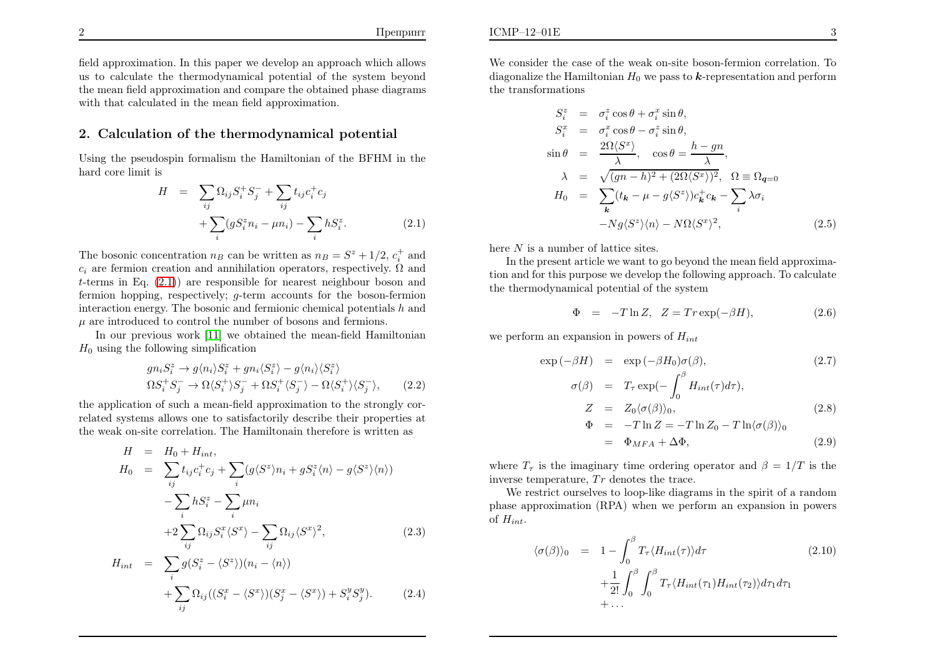$\Gamma$ репринт

### 2. Calculation of the thermodynamical potential

Using the pseudospin formalism the Hamiltonian of the BFHM in thehard core limit is

$$
H = \sum_{ij} \Omega_{ij} S_i^+ S_j^- + \sum_{ij} t_{ij} c_i^+ c_j + \sum_i (g S_i^z n_i - \mu n_i) - \sum_i h S_i^z.
$$
 (2.1)

The bosonic concentration  $n_B$  can be written as  $n_B = S^z + 1/2$ ,  $c_i^+$  and  $c_i$  are fermion creation and annihilation operators, respectively.  $\Omega$  and t-terms in Eq.  $(2.1)$  are responsible for nearest neighbour boson and fermion hopping, respectively; <sup>g</sup>-term accounts for the boson-fermioninteraction energy. The bosonic and fermionic chemical potentials  $h$  and  $\mu$  are introduced to control the number of bosons and fermions.

In our previous work [\[11\]](#page-5-0) we obtained the mean-field Hamiltonian $H_0$  using the following simplification

$$
gn_i S_i^z \to g\langle n_i \rangle S_i^z + gn_i \langle S_i^z \rangle - g\langle n_i \rangle \langle S_i^z \rangle
$$
  
\n
$$
\Omega S_i^+ S_j^- \to \Omega \langle S_i^+ \rangle S_j^- + \Omega S_i^+ \langle S_j^- \rangle - \Omega \langle S_i^+ \rangle \langle S_j^- \rangle, \qquad (2.2)
$$

 the application of such <sup>a</sup> mean-field approximation to the strongly correlated systems allows one to satisfactorily describe their properties atthe weak on-site correlation. The Hamiltonain therefore is written as

$$
H = H_0 + H_{int},
$$
  
\n
$$
H_0 = \sum_{ij} t_{ij} c_i^{\dagger} c_j + \sum_i (g \langle S^z \rangle n_i + g S_i^z \langle n \rangle - g \langle S^z \rangle \langle n \rangle)
$$
  
\n
$$
- \sum_i h S_i^z - \sum_i \mu n_i
$$
  
\n
$$
+ 2 \sum_{ij} \Omega_{ij} S_i^x \langle S^x \rangle - \sum_{ij} \Omega_{ij} \langle S^x \rangle^2,
$$
  
\n
$$
H_{int} = \sum g (S_i^z - \langle S^z \rangle)(n_i - \langle n \rangle)
$$
 (2.3)

$$
+\sum_{ij}\Omega_{ij}((S_i^x-\langle S^x\rangle)(S_j^x-\langle S^x\rangle)+S_i^yS_j^y). \hspace{1cm} (2.4)
$$

We consider the case of the weak on-site boson-fermion correlation. Todiagonalize the Hamiltonian  $H_0$  we pass to  $k$ -representation and perform the transformations

$$
S_i^z = \sigma_i^z \cos \theta + \sigma_i^x \sin \theta,
$$
  
\n
$$
S_i^x = \sigma_i^x \cos \theta - \sigma_i^z \sin \theta,
$$
  
\n
$$
\sin \theta = \frac{2\Omega \langle S^x \rangle}{\lambda}, \quad \cos \theta = \frac{h - gn}{\lambda},
$$
  
\n
$$
\lambda = \sqrt{(gn - h)^2 + (2\Omega \langle S^x \rangle)^2}, \quad \Omega \equiv \Omega_{\mathbf{q}=0}
$$
  
\n
$$
H_0 = \sum_{\mathbf{k}} (t_{\mathbf{k}} - \mu - g \langle S^z \rangle) c_{\mathbf{k}}^+ c_{\mathbf{k}} - \sum_i \lambda \sigma_i
$$
  
\n
$$
-Ng \langle S^z \rangle \langle n \rangle - N\Omega \langle S^x \rangle^2,
$$
\n(2.5)

<span id="page-2-1"></span>here  $N$  is a number of lattice sites.

 In the present article we want to go beyond the mean field approximation and for this purpose we develop the following approach. To calculatethe thermodynamical potential of the system

<span id="page-2-0"></span>
$$
\Phi = -T \ln Z, \quad Z = Tr \exp(-\beta H), \tag{2.6}
$$

we perform an expansion in powers of  $H_{int}$ 

$$
\exp(-\beta H) = \exp(-\beta H_0)\sigma(\beta),\tag{2.7}
$$

$$
\sigma(\beta) = T_{\tau} \exp(-\int_0^{\beta} H_{int}(\tau) d\tau),
$$
  
\n
$$
Z = Z_0 \langle \sigma(\beta) \rangle_0,
$$
  
\n
$$
\Phi = -T \ln Z = -T \ln Z_0 - T \ln \langle \sigma(\beta) \rangle_0
$$
\n(2.8)

$$
= \Phi_{MFA} + \Delta \Phi, \tag{2.9}
$$

where  $T_{\tau}$  is the imaginary time ordering operator and  $\beta = 1/T$  is the inverse temperature,  $Tr$  denotes the trace.

We restrict ourselves to loop-like diagrams in the spirit of <sup>a</sup> random <sup>p</sup>hase approximation (RPA) when we perform an expansion in powersof  $H_{int}$ .

$$
\langle \sigma(\beta) \rangle_0 = 1 - \int_0^\beta T_\tau \langle H_{int}(\tau) \rangle d\tau
$$
  
+  $\frac{1}{2!} \int_0^\beta \int_0^\beta T_\tau \langle H_{int}(\tau_1) H_{int}(\tau_2) \rangle d\tau_1 d\tau_1$   
+ ... (210)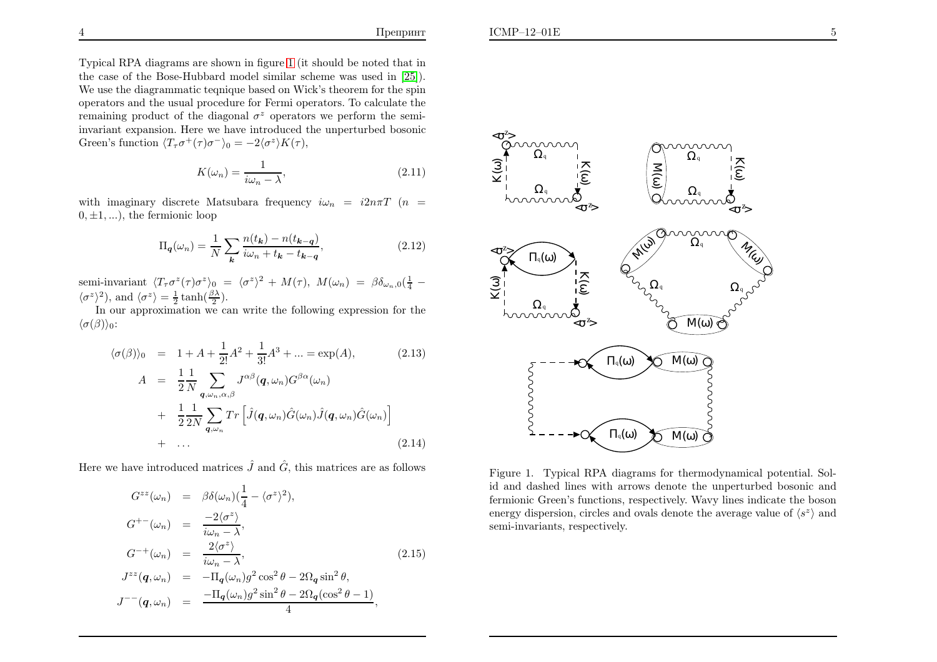Typical RPA diagrams are shown in figure [1](#page-3-0) (it should be noted that in the case of the Bose-Hubbard model similar scheme was used in [\[25\]](#page-5-11)). We use the diagrammatic teqnique based on Wick's theorem for the spin operators and the usual procedure for Fermi operators. To calculate theremaining product of the diagonal  $\sigma^z$  operators we perform the semi invariant expansion. Here we have introduced the unperturbed bosonicGreen's function  $\langle T_\tau \sigma^+(\tau) \sigma^- \rangle_0 = -2\langle \sigma^z \rangle K(\tau)$ ,

$$
K(\omega_n) = \frac{1}{i\omega_n - \lambda},\tag{2.11}
$$

with imaginary discrete Matsubara frequency  $i\omega_n = i2n\pi T$   $(n = 0, 1, \ldots)$  $(0, \pm 1, \ldots)$ , the fermionic loop

$$
\Pi_{\mathbf{q}}(\omega_n) = \frac{1}{N} \sum_{\mathbf{k}} \frac{n(t_{\mathbf{k}}) - n(t_{\mathbf{k} - \mathbf{q}})}{i\omega_n + t_{\mathbf{k}} - t_{\mathbf{k} - \mathbf{q}}},\tag{2.12}
$$

semi-invariant  $\langle T_{\tau}\sigma^{z}(\tau)\sigma^{z}\rangle_{0} = \langle \sigma^{z}\rangle$  $\langle \sigma^z \rangle^2$ ), and  $\langle \sigma^z \rangle = \frac{1}{2} \tanh(\frac{\beta \lambda}{2}).$  $2^2 + M(\tau)$ ,  $M(\omega_n) = \beta \delta_{\omega_n,0}$  $rac{1}{4}$  –

 In our approximation we can write the following expression for the $\langle \sigma(\beta) \rangle_0$ :

$$
\langle \sigma(\beta) \rangle_0 = 1 + A + \frac{1}{2!} A^2 + \frac{1}{3!} A^3 + \dots = \exp(A), \qquad (2.13)
$$
  
\n
$$
A = \frac{1}{2} \frac{1}{N} \sum_{\mathbf{q}, \omega_n, \alpha, \beta} J^{\alpha \beta}(\mathbf{q}, \omega_n) G^{\beta \alpha}(\omega_n)
$$
  
\n
$$
+ \frac{1}{2} \frac{1}{2N} \sum_{\mathbf{q}, \omega_n} Tr \left[ \hat{J}(\mathbf{q}, \omega_n) \hat{G}(\omega_n) \hat{J}(\mathbf{q}, \omega_n) \hat{G}(\omega_n) \right]
$$
  
\n
$$
+ \dots \qquad (2.14)
$$

Here we have introduced matrices  $\hat{J}$  and  $\hat{G}$ , this matrices are as follows

$$
G^{zz}(\omega_n) = \beta \delta(\omega_n) \left(\frac{1}{4} - \langle \sigma^z \rangle^2\right),
$$
  
\n
$$
G^{+-}(\omega_n) = \frac{-2\langle \sigma^z \rangle}{i\omega_n - \lambda},
$$
  
\n
$$
G^{-+}(\omega_n) = \frac{2\langle \sigma^z \rangle}{i\omega_n - \lambda},
$$
  
\n
$$
J^{zz}(\mathbf{q}, \omega_n) = -\Pi_{\mathbf{q}}(\omega_n) g^2 \cos^2 \theta - 2\Omega_{\mathbf{q}} \sin^2 \theta,
$$
  
\n
$$
J^{--}(\mathbf{q}, \omega_n) = \frac{-\Pi_{\mathbf{q}}(\omega_n) g^2 \sin^2 \theta - 2\Omega_{\mathbf{q}} (\cos^2 \theta - 1)}{4},
$$
\n(2.15)

<span id="page-3-0"></span>

Figure 1. Typical RPA diagrams for thermodynamical potential. Solid and dashed lines with arrows denote the unperturbed bosonic and fermionic Green's functions, respectively. Wavy lines indicate the bosonenergy dispersion, circles and ovals denote the average value of  $\langle s^z \rangle$  and semi-invariants, respectively.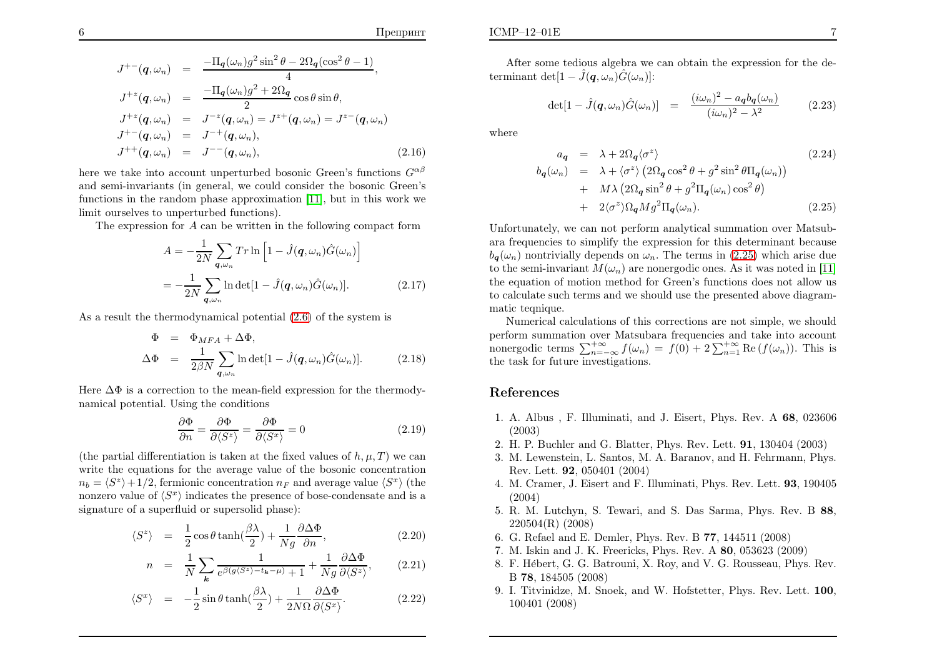$$
J^{+-}(q,\omega_n) = \frac{-\Pi_q(\omega_n)g^2\sin^2\theta - 2\Omega_q(\cos^2\theta - 1)}{4}, J^{+z}(q,\omega_n) = \frac{-\Pi_q(\omega_n)g^2 + 2\Omega_q}{2}\cos\theta\sin\theta, J^{+z}(q,\omega_n) = J^{-z}(q,\omega_n) = J^{z+}(q,\omega_n) = J^{z-}(q,\omega_n) J^{+-}(q,\omega_n) = J^{-+}(q,\omega_n), J^{++}(q,\omega_n) = J^{--}(q,\omega_n),
$$
 (2.16)

here we take into account unperturbed bosonic Green's functions  $G^{\alpha\beta}$  and semi-invariants (in general, we could consider the bosonic Green's functions in the random <sup>p</sup>hase approximation [\[11\]](#page-5-0), but in this work welimit ourselves to unperturbed functions).

The expression for  $A$  can be written in the following compact form

<span id="page-4-2"></span>
$$
A = -\frac{1}{2N} \sum_{\mathbf{q}, \omega_n} Tr \ln \left[ 1 - \hat{J}(\mathbf{q}, \omega_n) \hat{G}(\omega_n) \right]
$$

$$
= -\frac{1}{2N} \sum_{\mathbf{q}, \omega_n} \ln \det[1 - \hat{J}(\mathbf{q}, \omega_n) \hat{G}(\omega_n)]. \tag{2.17}
$$

As <sup>a</sup> result the thermodynamical potential [\(2.6\)](#page-2-1) of the system is

$$
\Phi = \Phi_{MFA} + \Delta \Phi,
$$
  
\n
$$
\Delta \Phi = \frac{1}{2\beta N} \sum_{\mathbf{q}, \omega_n} \ln \det[1 - \hat{J}(\mathbf{q}, \omega_n) \hat{G}(\omega_n)].
$$
\n(2.18)

Here ∆Φ is <sup>a</sup> correction to the mean-field expression for the thermody- namical potential. Using the conditions

$$
\frac{\partial \Phi}{\partial n} = \frac{\partial \Phi}{\partial \langle S^z \rangle} = \frac{\partial \Phi}{\partial \langle S^x \rangle} = 0
$$
\n(2.19)

(the partial differentiation is taken at the fixed values of  $h, \mu, T$ ) we can write the equations for the average value of the bosonic concentration $n_b = \langle S^z \rangle + 1/2$ , fermionic concentration  $n_F$  and average value  $\langle S^x \rangle$  (the nonzero value of  $\langle S^x \rangle$  indicates the presence of bose-condensate and is a signature of <sup>a</sup> superfluid or supersolid <sup>p</sup>hase):

$$
\langle S^z \rangle = \frac{1}{2} \cos \theta \tanh(\frac{\beta \lambda}{2}) + \frac{1}{Ng} \frac{\partial \Delta \Phi}{\partial n}, \qquad (2.20)
$$

$$
n = \frac{1}{N} \sum_{\mathbf{k}} \frac{1}{e^{\beta(g\langle S^z \rangle - t_{\mathbf{k}} - \mu)} + 1} + \frac{1}{Ng} \frac{\partial \Delta \Phi}{\partial \langle S^z \rangle}, \tag{2.21}
$$

$$
\langle S^x \rangle = -\frac{1}{2}\sin\theta\tanh(\frac{\beta\lambda}{2}) + \frac{1}{2N\Omega}\frac{\partial\Delta\Phi}{\partial\langle S^x \rangle}.
$$
 (2.22)

After some tedious algebra we can obtain the expression for the determinant det $[1-\hat{J}(\boldsymbol{q},\omega_n)\hat{G}(\omega_n)]$ :

$$
\det[1 - \hat{J}(\boldsymbol{q}, \omega_n)\hat{G}(\omega_n)] = \frac{(i\omega_n)^2 - a_q b_q(\omega_n)}{(i\omega_n)^2 - \lambda^2} \tag{2.23}
$$

<span id="page-4-3"></span><span id="page-4-1"></span><span id="page-4-0"></span>where

<span id="page-4-4"></span>
$$
a_{\mathbf{q}} = \lambda + 2\Omega_{\mathbf{q}} \langle \sigma^z \rangle \qquad (2.24)
$$
  
\n
$$
b_{\mathbf{q}}(\omega_n) = \lambda + \langle \sigma^z \rangle \left( 2\Omega_{\mathbf{q}} \cos^2 \theta + g^2 \sin^2 \theta \Pi_{\mathbf{q}}(\omega_n) \right)
$$
  
\n
$$
+ M \lambda \left( 2\Omega_{\mathbf{q}} \sin^2 \theta + g^2 \Pi_{\mathbf{q}}(\omega_n) \cos^2 \theta \right)
$$
  
\n
$$
+ 2 \langle \sigma^z \rangle \Omega_{\mathbf{q}} M g^2 \Pi_{\mathbf{q}}(\omega_n). \qquad (2.25)
$$

Unfortunately, we can not perform analytical summation over Matsubara frequencies to simplify the expression for this determinant because $b_{q}(\omega_{n})$  nontrivially depends on  $\omega_{n}$ . The terms in [\(2.25\)](#page-4-4) which arise due to the semi-invariant  $M(\omega_n)$  are nonergodic ones. As it was noted in [\[11\]](#page-5-0) the equation of motion method for Green's functions does not allow us to calculate such terms and we should use the presented above diagrammatic teqnique.

Numerical calculations of this corrections are not simple, we should perform summation over Matsubara frequencies and take into account nonergodic terms  $\Sigma$  the task for future investigations.  $+\infty$ <br> $n \sum_{n=-\infty}^{+\infty} f(\omega_n) = f(0) + 2 \sum_{n=-\infty}^{+\infty} f(\omega_n)$  $+\infty$ <br> $n-1$  $\lim_{n=1}^{+\infty}$  Re  $(f(\omega_n))$ . This is

### References

- 1. A. Albus , F. Illuminati, and J. Eisert, Phys. Rev. <sup>A</sup> <sup>68</sup>, <sup>023606</sup> (2003)
- 2. H. P. Buchler and G. Blatter, Phys. Rev. Lett. <sup>91</sup>, <sup>130404</sup> (2003)
- 3. M. Lewenstein, L. Santos, M. A. Baranov, and H. Fehrmann, Phys. Rev. Lett. <sup>92</sup>, <sup>050401</sup> (2004)
- 4. M. Cramer, J. Eisert and F. Illuminati, Phys. Rev. Lett. <sup>93</sup>, <sup>190405</sup>(2004)
- 5. R. M. Lutchyn, S. Tewari, and S. Das Sarma, Phys. Rev. <sup>B</sup> <sup>88</sup>, 220504(R) (2008)
- 6. G. Refael and E. Demler, Phys. Rev. <sup>B</sup> <sup>77</sup>, <sup>144511</sup> (2008)
- 7. M. Iskin and J. K. Freericks, Phys. Rev. <sup>A</sup> <sup>80</sup>, <sup>053623</sup> (2009)
- 8. F. Hébert, G. G. Batrouni, X. Roy, and V. G. Rousseau, Phys. Rev. B <sup>78</sup>, <sup>184505</sup> (2008)
- 9. I. Titvinidze, M. Snoek, and W. Hofstetter, Phys. Rev. Lett. <sup>100</sup>, <sup>100401</sup> (2008)